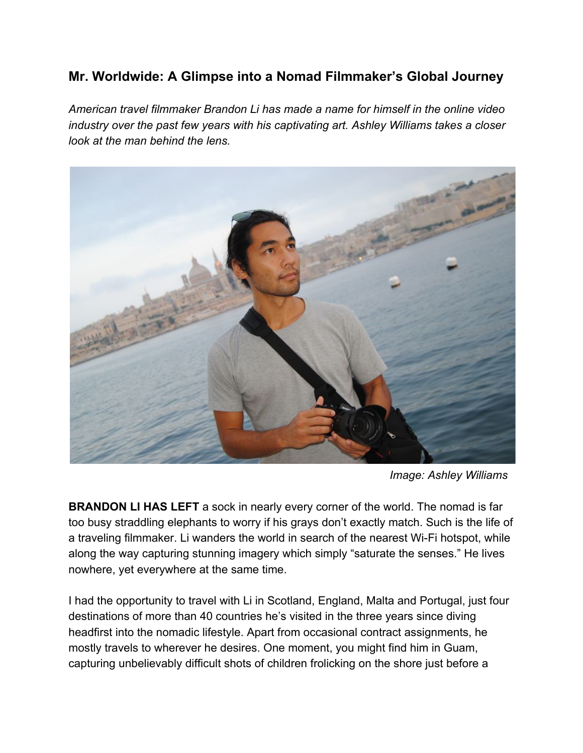## **Mr. Worldwide: A Glimpse into a Nomad Filmmaker's Global Journey**

*American travel filmmaker Brandon Li has made a name for himself in the online video industry over the past few years with his captivating art. Ashley Williams takes a closer look at the man behind the lens.*



*Image: Ashley Williams*

**BRANDON LI HAS LEFT** a sock in nearly every corner of the world. The nomad is far too busy straddling elephants to worry if his grays don't exactly match. Such is the life of a traveling filmmaker. Li wanders the world in search of the nearest Wi-Fi hotspot, while along the way capturing stunning imagery which simply "saturate the senses." He lives nowhere, yet everywhere at the same time.

I had the opportunity to travel with Li in Scotland, England, Malta and Portugal, just four destinations of more than 40 countries he's visited in the three years since diving headfirst into the nomadic lifestyle. Apart from occasional contract assignments, he mostly travels to wherever he desires. One moment, you might find him in Guam, capturing unbelievably difficult shots of children frolicking on the shore just before a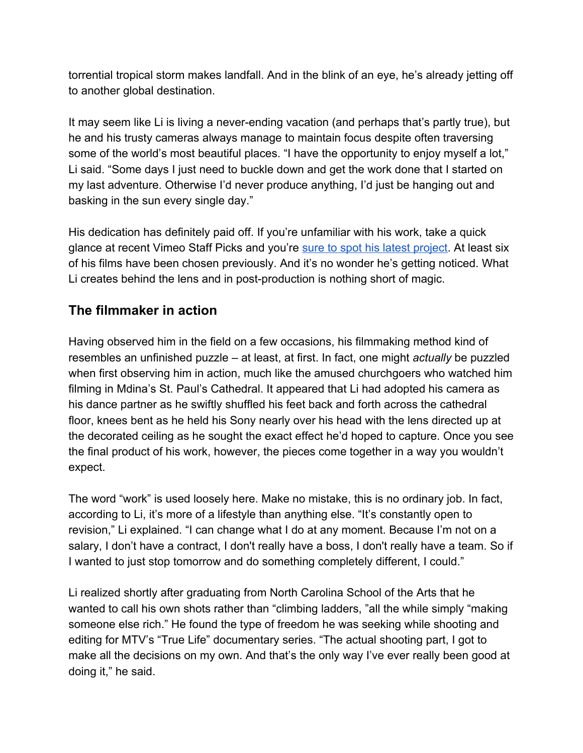torrential tropical storm makes landfall. And in the blink of an eye, he's already jetting off to another global destination.

It may seem like Li is living a never-ending vacation (and perhaps that's partly true), but he and his trusty cameras always manage to maintain focus despite often traversing some of the world's most beautiful places. "I have the opportunity to enjoy myself a lot," Li said. "Some days I just need to buckle down and get the work done that I started on my last adventure. Otherwise I'd never produce anything, I'd just be hanging out and basking in the sun every single day."

His dedication has definitely paid off. If you're unfamiliar with his work, take a quick glance at recent Vimeo Staff Picks and you're [sure to spot his latest project](https://vimeo.com/166929892). At least six of his films have been chosen previously. And it's no wonder he's getting noticed. What Li creates behind the lens and in post-production is nothing short of magic.

## **The filmmaker in action**

Having observed him in the field on a few occasions, his filmmaking method kind of resembles an unfinished puzzle – at least, at first. In fact, one might *actually* be puzzled when first observing him in action, much like the amused churchgoers who watched him filming in Mdina's St. Paul's Cathedral. It appeared that Li had adopted his camera as his dance partner as he swiftly shuffled his feet back and forth across the cathedral floor, knees bent as he held his Sony nearly over his head with the lens directed up at the decorated ceiling as he sought the exact effect he'd hoped to capture. Once you see the final product of his work, however, the pieces come together in a way you wouldn't expect.

The word "work" is used loosely here. Make no mistake, this is no ordinary job. In fact, according to Li, it's more of a lifestyle than anything else. "It's constantly open to revision," Li explained. "I can change what I do at any moment. Because I'm not on a salary, I don't have a contract, I don't really have a boss, I don't really have a team. So if I wanted to just stop tomorrow and do something completely different, I could."

Li realized shortly after graduating from North Carolina School of the Arts that he wanted to call his own shots rather than "climbing ladders, "all the while simply "making someone else rich." He found the type of freedom he was seeking while shooting and editing for MTV's "True Life" documentary series. "The actual shooting part, I got to make all the decisions on my own. And that's the only way I've ever really been good at doing it," he said.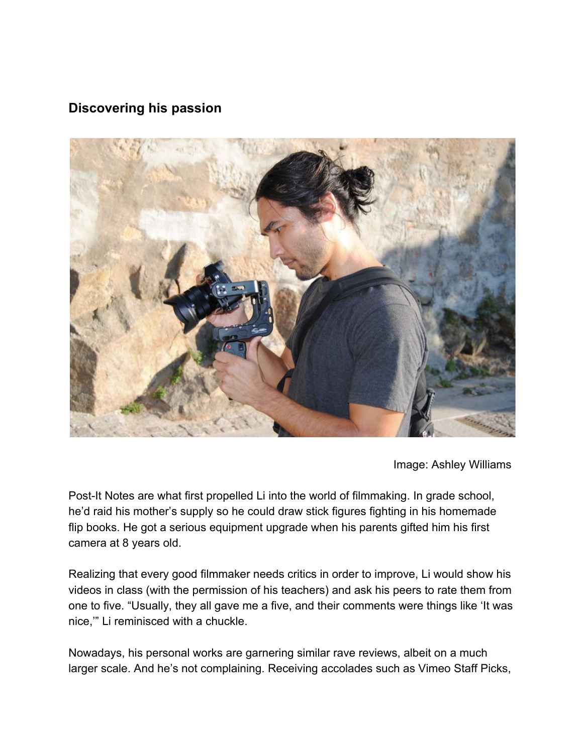## **Discovering his passion**



Image: Ashley Williams

Post-It Notes are what first propelled Li into the world of filmmaking. In grade school, he'd raid his mother's supply so he could draw stick figures fighting in his homemade flip books. He got a serious equipment upgrade when his parents gifted him his first camera at 8 years old.

Realizing that every good filmmaker needs critics in order to improve, Li would show his videos in class (with the permission of his teachers) and ask his peers to rate them from one to five. "Usually, they all gave me a five, and their comments were things like 'It was nice,'" Li reminisced with a chuckle.

Nowadays, his personal works are garnering similar rave reviews, albeit on a much larger scale. And he's not complaining. Receiving accolades such as Vimeo Staff Picks,